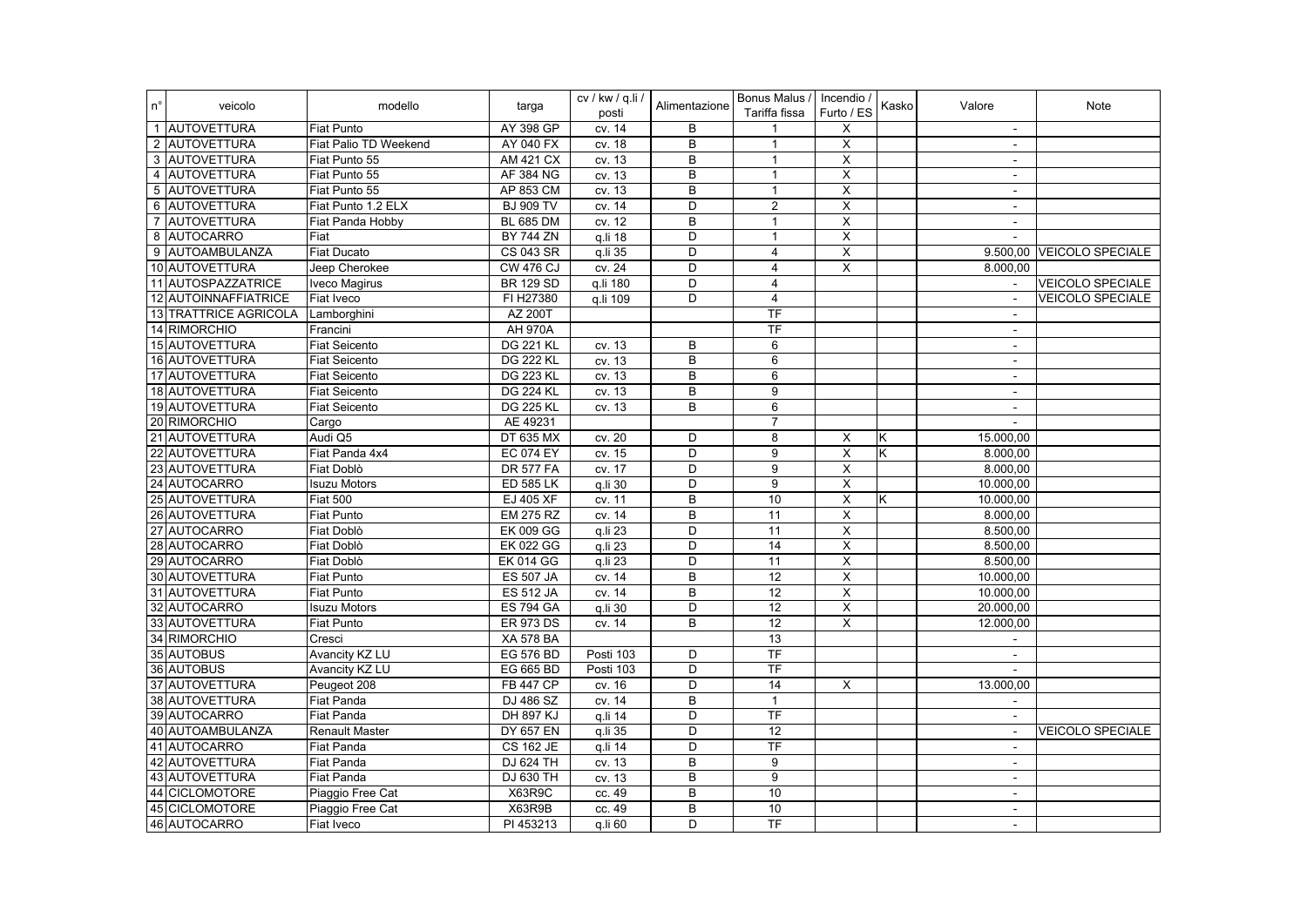| $n^{\circ}$ | veicolo               | modello               | targa            | cv / kw / q.li /<br>posti | Alimentazione  | Bonus Malus / Incendio /<br>Tariffa fissa | Furto / ES              | Kasko | Valore         | Note                    |
|-------------|-----------------------|-----------------------|------------------|---------------------------|----------------|-------------------------------------------|-------------------------|-------|----------------|-------------------------|
|             | 1 AUTOVETTURA         | <b>Fiat Punto</b>     | AY 398 GP        | cv. 14                    | В              | $\overline{1}$                            | Х                       |       | $\sim$         |                         |
|             | 2 AUTOVETTURA         | Fiat Palio TD Weekend | AY 040 FX        | cv. 18                    | $\overline{B}$ | $\mathbf{1}$                              | $\overline{\mathsf{X}}$ |       | $\sim$         |                         |
|             | 3 AUTOVETTURA         | Fiat Punto 55         | <b>AM 421 CX</b> | cv. 13                    | B              | $\overline{1}$                            | X                       |       | $\Delta$       |                         |
|             | 4 AUTOVETTURA         | Fiat Punto 55         | AF 384 NG        | cv. 13                    | B              | $\mathbf{1}$                              | $\overline{\mathsf{x}}$ |       | $\sim$         |                         |
|             | 5 AUTOVETTURA         | Fiat Punto 55         | AP 853 CM        | cv. 13                    | B              | $\mathbf{1}$                              | X                       |       | $\sim$         |                         |
|             | 6 AUTOVETTURA         | Fiat Punto 1.2 ELX    | <b>BJ 909 TV</b> | cv. 14                    | $\overline{D}$ | $\overline{2}$                            | $\overline{\mathsf{x}}$ |       | $\sim$         |                         |
|             | 7 AUTOVETTURA         | Fiat Panda Hobby      | <b>BL 685 DM</b> | cv. 12                    | B              | $\mathbf{1}$                              | $\overline{\mathsf{x}}$ |       | $\blacksquare$ |                         |
|             | 8 AUTOCARRO           | Fiat                  | <b>BY 744 ZN</b> | q.li 18                   | D              | $\overline{1}$                            | $\overline{\mathsf{x}}$ |       |                |                         |
|             | 9 AUTOAMBULANZA       | <b>Fiat Ducato</b>    | <b>CS 043 SR</b> | q.li 35                   | D              | $\overline{4}$                            | X                       |       | 9.500.00       | <b>VEICOLO SPECIALE</b> |
|             | 10 AUTOVETTURA        | Jeep Cherokee         | <b>CW 476 CJ</b> | cv. 24                    | D              | $\overline{4}$                            | $\overline{\mathsf{x}}$ |       | 8.000,00       |                         |
|             | 11 AUTOSPAZZATRICE    | <b>Iveco Magirus</b>  | <b>BR 129 SD</b> | q.li 180                  | $\overline{D}$ | 4                                         |                         |       | $\sim$         | <b>VEICOLO SPECIALE</b> |
|             | 12 AUTOINNAFFIATRICE  | Fiat Iveco            | FI H27380        | q.li 109                  | D              | 4                                         |                         |       | $\sim$         | <b>VEICOLO SPECIALE</b> |
|             | 13 TRATTRICE AGRICOLA | Lamborghini           | AZ 200T          |                           |                | TF                                        |                         |       | $\sim$         |                         |
|             | 14 RIMORCHIO          | Francini              | <b>AH 970A</b>   |                           |                | <b>TF</b>                                 |                         |       | $\blacksquare$ |                         |
|             | 15 AUTOVETTURA        | <b>Fiat Seicento</b>  | <b>DG 221 KL</b> | cv. 13                    | B              | 6                                         |                         |       | $\blacksquare$ |                         |
|             | 16 AUTOVETTURA        | Fiat Seicento         | <b>DG 222 KL</b> | cv. 13                    | B              | 6                                         |                         |       | $\blacksquare$ |                         |
|             | 17 AUTOVETTURA        | <b>Fiat Seicento</b>  | <b>DG 223 KL</b> | cv. 13                    | B              | $6\overline{6}$                           |                         |       | $\sim$         |                         |
|             | 18 AUTOVETTURA        | Fiat Seicento         | <b>DG 224 KL</b> | cv. 13                    | B              | 9                                         |                         |       | $\blacksquare$ |                         |
|             | 19 AUTOVETTURA        | Fiat Seicento         | <b>DG 225 KL</b> | cv. 13                    | $\overline{B}$ | 6                                         |                         |       | $\blacksquare$ |                         |
|             | 20 RIMORCHIO          | Cargo                 | AE 49231         |                           |                | $\overline{7}$                            |                         |       | $\blacksquare$ |                         |
|             | 21 AUTOVETTURA        | Audi Q5               | <b>DT 635 MX</b> | cv. 20                    | D              | 8                                         | X                       | Κ     | 15.000,00      |                         |
|             | 22 AUTOVETTURA        | Fiat Panda 4x4        | <b>EC 074 EY</b> | cv. 15                    | D              | 9                                         | $\overline{X}$          | Κ     | 8.000,00       |                         |
|             | 23 AUTOVETTURA        | Fiat Doblò            | <b>DR 577 FA</b> | cv. 17                    | D              | 9                                         | X                       |       | 8.000,00       |                         |
|             | 24 AUTOCARRO          | <b>Isuzu Motors</b>   | <b>ED 585 LK</b> | q.li 30                   | D              | 9                                         | X                       |       | 10.000.00      |                         |
|             | 25 AUTOVETTURA        | <b>Fiat 500</b>       | EJ 405 XF        | cv. 11                    | B              | 10                                        | X                       | Κ     | 10.000,00      |                         |
|             | 26 AUTOVETTURA        | <b>Fiat Punto</b>     | <b>EM 275 RZ</b> | cv. 14                    | B              | 11                                        | $\overline{\mathsf{X}}$ |       | 8.000,00       |                         |
|             | 27 AUTOCARRO          | <b>Fiat Doblò</b>     | <b>EK 009 GG</b> | q.li 23                   | D              | 11                                        | $\overline{\mathsf{x}}$ |       | 8.500,00       |                         |
|             | 28 AUTOCARRO          | Fiat Doblò            | <b>EK 022 GG</b> | $q$ .li 23                | D              | $\overline{14}$                           | $\overline{\mathsf{x}}$ |       | 8.500,00       |                         |
|             | 29 AUTOCARRO          | Fiat Doblò            | <b>EK 014 GG</b> | q.li 23                   | D              | 11                                        | $\mathsf X$             |       | 8.500,00       |                         |
|             | 30 AUTOVETTURA        | <b>Fiat Punto</b>     | <b>ES 507 JA</b> | cv. 14                    | B              | $\overline{12}$                           | $\overline{\mathsf{x}}$ |       | 10.000,00      |                         |
|             | 31 AUTOVETTURA        | <b>Fiat Punto</b>     | <b>ES 512 JA</b> | cv. 14                    | B              | 12                                        | $\overline{\mathsf{x}}$ |       | 10.000,00      |                         |
|             | 32 AUTOCARRO          | <b>Isuzu Motors</b>   | <b>ES 794 GA</b> | q.li 30                   | D              | 12                                        | $\overline{\mathsf{x}}$ |       | 20.000,00      |                         |
|             | 33 AUTOVETTURA        | <b>Fiat Punto</b>     | <b>ER 973 DS</b> | cv. 14                    | B              | $\overline{12}$                           | $\overline{\mathsf{x}}$ |       | 12.000,00      |                         |
|             | 34 RIMORCHIO          | Cresci                | <b>XA 578 BA</b> |                           |                | $\overline{13}$                           |                         |       | $\sim$         |                         |
|             | 35 AUTOBUS            | <b>Avancity KZ LU</b> | <b>EG 576 BD</b> | Posti 103                 | D              | TF                                        |                         |       | $\blacksquare$ |                         |
|             | 36 AUTOBUS            | <b>Avancity KZ LU</b> | EG 665 BD        | Posti 103                 | D              | TF                                        |                         |       | $\Delta$       |                         |
|             | 37 AUTOVETTURA        | Peugeot 208           | <b>FB 447 CP</b> | cv. 16                    | $\overline{D}$ | 14                                        | X                       |       | 13.000,00      |                         |
|             | 38 AUTOVETTURA        | Fiat Panda            | DJ 486 SZ        | cv. 14                    | B              | $\mathbf{1}$                              |                         |       | $\blacksquare$ |                         |
|             | 39 AUTOCARRO          | <b>Fiat Panda</b>     | <b>DH 897 KJ</b> | q.li 14                   | D              | TF                                        |                         |       | $\blacksquare$ |                         |
|             | 40 AUTOAMBULANZA      | <b>Renault Master</b> | <b>DY 657 EN</b> | q.li 35                   | D              | 12                                        |                         |       | $\blacksquare$ | <b>VEICOLO SPECIALE</b> |
|             | 41 AUTOCARRO          | Fiat Panda            | <b>CS 162 JE</b> | q.li 14                   | D              | $\overline{\text{TF}}$                    |                         |       | $\sim$         |                         |
|             | 42 AUTOVETTURA        | <b>Fiat Panda</b>     | DJ 624 TH        | cv. 13                    | $\overline{B}$ | $\boldsymbol{9}$                          |                         |       | $\sim$         |                         |
|             | 43 AUTOVETTURA        | Fiat Panda            | DJ 630 TH        | cv. 13                    | B              | 9                                         |                         |       | $\sim$         |                         |
|             | 44 CICLOMOTORE        | Piaggio Free Cat      | X63R9C           | cc. 49                    | B              | 10                                        |                         |       | $\sim$         |                         |
|             | 45 CICLOMOTORE        | Piaggio Free Cat      | X63R9B           | cc. 49                    | B              | 10                                        |                         |       | $\sim$         |                         |
|             | 46 AUTOCARRO          | Fiat Iveco            | PI 453213        | q.li 60                   | $\overline{D}$ | TF                                        |                         |       | $\sim$         |                         |